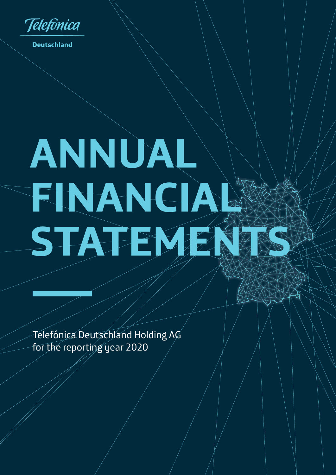

**Deutschland** 

# **ANNUAL FINANCIAL STATEMENTS**

Telefónica Deutschland Holding AG for the reporting year 2020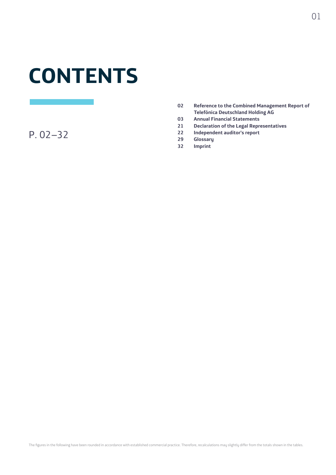## **CONTENTS**

P. 02–32

- **02 Reference to the Combined Management Report of Telefónica Deutschland Holding AG**
- **03 Annual Financial Statements**
- **21 Declaration of the Legal Representatives**
- **22 Independent auditor's report**
- **29 Glossary**
- **32 Imprint**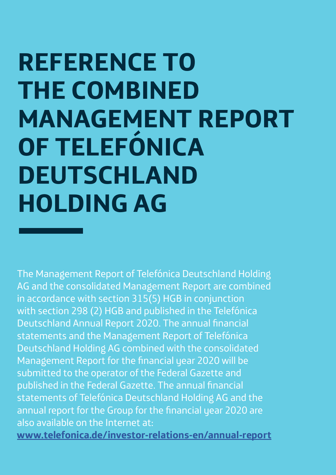# **REFERENCE TO THE COMBINED MANAGEMENT REPORT OF TELEFÓNICA DEUTSCHLAND HOLDING AG**

The Management Report of Telefónica Deutschland Holding AG and the consolidated Management Report are combined in accordance with section 315(5) HGB in conjunction with section 298 (2) HGB and published in the Telefónica Deutschland Annual Report 2020. The annual financial statements and the Management Report of Telefónica Deutschland Holding AG combined with the consolidated Management Report for the financial year 2020 will be submitted to the operator of the Federal Gazette and published in the Federal Gazette. The annual financial statements of Telefónica Deutschland Holding AG and the annual report for the Group for the financial year 2020 are also available on the Internet at:

**www.telefonica.de/investor-relations-en/annual-report**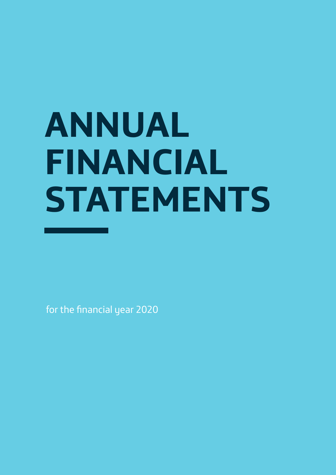# **ANNUAL FINANCIAL STATEMENTS**

for the financial year 2020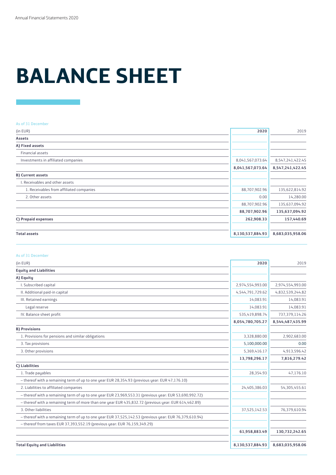# **BALANCE SHEET**

#### As of 31 December

| (in EUR)                                 | 2020             | 2019             |
|------------------------------------------|------------------|------------------|
| <b>Assets</b>                            |                  |                  |
| A) Fixed assets                          |                  |                  |
| Financial assets                         |                  |                  |
| Investments in affiliated companies      | 8,041,567,073.64 | 8,547,241,422.45 |
|                                          | 8,041,567,073.64 | 8,547,241,422.45 |
| <b>B) Current assets</b>                 |                  |                  |
| I. Receivables and other assets          |                  |                  |
| 1. Receivables from affiliated companies | 88,707,902.96    | 135,622,814.92   |
| 2. Other assets                          | 0.00             | 14,280.00        |
|                                          | 88,707,902.96    | 135,637,094.92   |
|                                          | 88,707,902.96    | 135,637,094.92   |
| C) Prepaid expenses                      | 262,908.33       | 157,440.69       |
| <b>Total assets</b>                      | 8,130,537,884.93 | 8,683,035,958.06 |

#### As of 31 December

| (in EUR)                                                                                               | 2020             | 2019             |
|--------------------------------------------------------------------------------------------------------|------------------|------------------|
| <b>Equity and Liabilities</b>                                                                          |                  |                  |
| A) Equity                                                                                              |                  |                  |
| I. Subscribed capital                                                                                  | 2,974,554,993.00 | 2,974,554,993.00 |
| II. Additional paid-in capital                                                                         | 4,544,791,729.62 | 4,832,539,244.82 |
| III. Retained earnings                                                                                 | 14,083.91        | 14,083.91        |
| Legal reserve                                                                                          | 14.083.91        | 14,083.91        |
| IV. Balance sheet profit                                                                               | 535,419,898.74   | 737,379,114.26   |
|                                                                                                        | 8,054,780,705.27 | 8,544,487,435.99 |
| <b>B) Provisions</b>                                                                                   |                  |                  |
| 1. Provisions for pensions and similar obligations                                                     | 3,328,880.00     | 2,902,683.00     |
| 3. Tax provisions                                                                                      | 5,100,000.00     | 0.00             |
| 3. Other provisions                                                                                    | 5,369,416.17     | 4,913,596.42     |
|                                                                                                        | 13,798,296.17    | 7,816,279.42     |
| C) Liabilities                                                                                         |                  |                  |
| 1. Trade payables                                                                                      | 28,354.93        | 47,176.10        |
| - thereof with a remaining term of up to one year EUR 28,354.93 (previous year: EUR 47,176.10)         |                  |                  |
| 2. Liabilities to affiliated companies                                                                 | 24,405,386.03    | 54,305,455.61    |
| - thereof with a remaining term of up to one year EUR 23,969,553.31 (previous year: EUR 53,690,992.72) |                  |                  |
| - thereof with a remaining term of more than one year EUR 435,832.72 (previous year: EUR 614,462.89)   |                  |                  |
| 3. Other liabilities                                                                                   | 37,525,142.53    | 76,379,610.94    |
| - thereof with a remaining term of up to one year EUR 37,525,142.53 (previous year: EUR 76,379,610.94) |                  |                  |
| - thereof from taxes EUR 37,393,552.19 (previous year: EUR 76,159,349.29)                              |                  |                  |
|                                                                                                        | 61,958,883.49    | 130,732,242.65   |
| <b>Total Equity and Liabilities</b>                                                                    | 8,130,537,884.93 | 8,683,035,958.06 |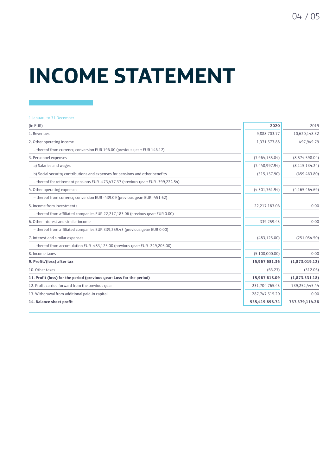# **INCOME STATEMENT**

#### 1 January to 31 December

| (in EUR)                                                                           | 2020           | 2019             |
|------------------------------------------------------------------------------------|----------------|------------------|
| 1. Revenues                                                                        | 9,888,703.77   | 10,620,148.32    |
| 2. Other operating income                                                          | 1,371,577.88   | 497,949.79       |
| - thereof from currency conversion EUR 196.00 (previous year: EUR 146.12)          |                |                  |
| 3. Personnel expenses                                                              | (7,964,155.84) | (8,574,598.04)   |
| a) Salaries and wages                                                              | (7,448,997.94) | (8, 115, 134.24) |
| b) Social security contributions and expenses for pensions and other benefits      | (515, 157.90)  | (459, 463.80)    |
| - thereof for retirement pensions EUR -473,477.37 (previous year: EUR -399,224.54) |                |                  |
| 4. Other operating expenses                                                        | (4,301,761.94) | (4, 165, 464.69) |
| - thereof from currency conversion EUR -439.09 (previous year: EUR -451.62)        |                |                  |
| 5. Income from investments                                                         | 22,217,183.06  | 0.00             |
| - thereof from affiliated companies EUR 22,217,183.06 (previous year: EUR 0.00)    |                |                  |
| 6. Other interest and similar income                                               | 339,259.43     | 0.00             |
| - thereof from affiliated companies EUR 339,259.43 (previous year: EUR 0.00)       |                |                  |
| 7. Interest and similar expenses                                                   | (483, 125.00)  | (251,054.50)     |
| - thereof from accumulation EUR -483,125.00 (previous year: EUR -249,205.00)       |                |                  |
| 8. Income taxes                                                                    | (5,100,000.00) | 0.00             |
| 9. Profit/(loss) after tax                                                         | 15,967,681.36  | (1,873,019.12)   |
| 10. Other taxes                                                                    | (63.27)        | (312.06)         |
| 11. Profit (loss) for the period (previous year: Loss for the period)              | 15,967,618.09  | (1,873,331.18)   |
| 12. Profit carried forward from the previous year                                  | 231,704,765.45 | 739,252,445.44   |
| 13. Withdrawal from additional paid-in capital                                     | 287,747,515.20 | 0.00             |
| 14. Balance sheet profit                                                           | 535,419,898.74 | 737,379,114.26   |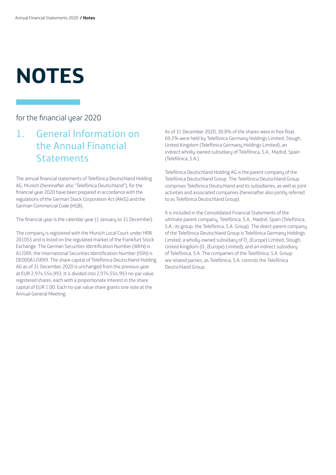# **NOTES**

### for the financial year 2020

### 1. General Information on the Annual Financial **Statements**

The annual financial statements of Telefónica Deutschland Holding AG, Munich (hereinafter also "Telefónica Deutschland"), for the financial year 2020 have been prepared in accordance with the regulations of the German Stock Corporation Act (AktG) and the German Commercial Code (HGB).

The financial year is the calendar year (1 January to 31 December).

The company is registered with the Munich Local Court under HRB 201055 and is listed on the regulated market of the Frankfurt Stock Exchange. The German Securities Identification Number (WKN) is A1J5RX, the International Securities Identification Number (ISIN) is DE000A1J5RX9. The share capital of Telefónica Deutschland Holding AG as of 31 December 2020 is unchanged from the previous year at EUR 2,974,554,993. It is divided into 2,974,554,993 no-par value registered shares, each with a proportionate interest in the share capital of EUR 1.00. Each no-par value share grants one vote at the Annual General Meeting.

As of 31 December 2020, 30.8% of the shares were in free float. 69.2% were held by Telefónica Germany Holdings Limited, Slough, United Kingdom (Telefónica Germany Holdings Limited), an indirect wholly-owned subsidiary of Telefónica, S.A., Madrid, Spain (Telefónica, S.A.).

Telefónica Deutschland Holding AG is the parent company of the Telefónica Deutschland Group. The Telefónica Deutschland Group comprises Telefónica Deutschland and its subsidiaries, as well as joint activities and associated companies (hereinafter also jointly referred to as Telefónica Deutschland Group).

It is included in the Consolidated Financial Statements of the ultimate parent company, Telefónica, S.A., Madrid, Spain (Telefónica, S.A.; its group: the Telefónica, S.A. Group). The direct parent company of the Telefónica Deutschland Group is Telefónica Germany Holdings Limited, a wholly-owned subsidiary of  $O<sub>2</sub>$  (Europe) Limited, Slough, United Kingdom ( $O_2$  (Europe) Limited), and an indirect subsidiary of Telefónica, S.A. The companies of the Telefónica, S.A. Group are related parties, as Telefónica, S.A. controls the Telefónica Deutschland Group.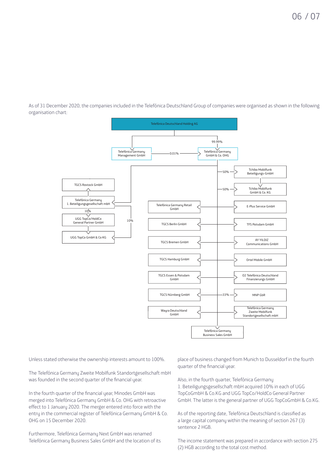As of 31 December 2020, the companies included in the Telefónica Deutschland Group of companies were organised as shown in the following organisation chart:



Unless stated otherwise the ownership interests amount to 100%.

The Telefónica Germany Zweite Mobilfunk Standortgesellschaft mbH was founded in the second quarter of the financial year.

In the fourth quarter of the financial year, Minodes GmbH was merged into Telefónica Germany GmbH & Co. OHG with retroactive effect to 1 January 2020. The merger entered into force with the entry in the commercial register of Telefónica Germany GmbH & Co. OHG on 15 December 2020.

Furthermore, Telefónica Germany Next GmbH was renamed Telefónica Germany Business Sales GmbH and the location of its place of business changed from Munich to Dusseldorf in the fourth quarter of the financial year.

Also, in the fourth quarter, Telefónica Germany 1. Beteiligungsgesellschaft mbH acquired 10% in each of UGG TopCoGmbH & Co.KG and UGG TopCo/HoldCo General Partner GmbH. The latter is the general partner of UGG TopCoGmbH & Co.KG.

As of the reporting date, Telefónica Deutschland is classified as a large capital company within the meaning of section 267 (3) sentence 2 HGB.

The income statement was prepared in accordance with section 275 (2) HGB according to the total cost method.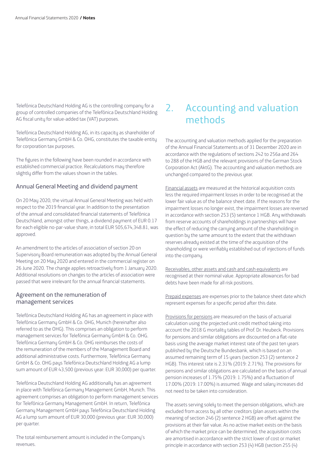Telefónica Deutschland Holding AG is the controlling company for a group of controlled companies of the Telefónica Deutschland Holding AG fiscal unity for value-added tax (VAT) purposes.

Telefónica Deutschland Holding AG, in its capacity as shareholder of Telefónica Germany GmbH & Co. OHG, constitutes the taxable entity for corporation tax purposes.

The figures in the following have been rounded in accordance with established commercial practice. Recalculations may therefore slightly differ from the values shown in the tables.

#### Annual General Meeting and dividend payment

On 20 May 2020, the virtual Annual General Meeting was held with respect to the 2019 financial year. In addition to the presentation of the annual and consolidated financial statements of Telefónica Deutschland, amongst other things, a dividend payment of EUR 0.17 for each eligible no-par-value share, in total EUR 505,674,348.81, was approved.

An amendment to the articles of association of section 20 on Supervisory Board remuneration was adopted by the Annual General Meeting on 20 May 2020 and entered in the commercial register on 26 June 2020. The change applies retroactively from 1 January 2020. Additional resolutions on changes to the articles of association were passed that were irrelevant for the annual financial statements.

#### Agreement on the remuneration of management services

Telefónica Deutschland Holding AG has an agreement in place with Telefónica Germany GmbH & Co. OHG, Munich (hereinafter also referred to as the OHG). This comprises an obligation to perform management services for Telefónica Germany GmbH & Co. OHG. Telefónica Germany GmbH & Co. OHG reimburses the costs of the remuneration of the members of the Management Board and additional administrative costs. Furthermore, Telefónica Germany GmbH & Co. OHG pays Telefónica Deutschland Holding AG a lump sum amount of EUR 43,500 (previous year: EUR 30,000) per quarter.

Telefónica Deutschland Holding AG additionally has an agreement in place with Telefónica Germany Management GmbH, Munich. This agreement comprises an obligation to perform management services for Telefónica Germany Management GmbH. In return, Telefónica Germany Management GmbH pays Telefónica Deutschland Holding AG a lump sum amount of EUR 30,000 (previous year: EUR 30,000) per quarter.

The total reimbursement amount is included in the Company's revenues.

### 2. Accounting and valuation methods

The accounting and valuation methods applied for the preparation of the Annual Financial Statements as of 31 December 2020 are in accordance with the regulations of sections 242 to 256a and 264 to 288 of the HGB and the relevant provisions of the German Stock Corporation Act (AktG). The accounting and valuation methods are unchanged compared to the previous year.

Financial assets are measured at the historical acquisition costs less the required impairment losses in order to be recognised at the lower fair value as of the balance sheet date. If the reasons for the impairment losses no longer exist, the impairment losses are reversed in accordance with section 253 (5) sentence 1 HGB. Any withdrawals from reserve accounts of shareholdings in partnerships will have the effect of reducing the carrying amount of the shareholding in question by the same amount to the extent that the withdrawn reserves already existed at the time of the acquisition of the shareholding or were verifiably established out of injections of funds into the company.

Receivables, other assets and cash and cash equivalents are recognised at their nominal value. Appropriate allowances for bad debts have been made for all risk positions.

Prepaid expenses are expenses prior to the balance sheet date which represent expenses for a specific period after this date.

Provisions for pensions are measured on the basis of actuarial calculation using the projected unit credit method taking into account the 2018 G mortality tables of Prof. Dr. Heubeck. Provisions for pensions and similar obligations are discounted on a flat-rate basis using the average market interest rate of the past ten years published by the Deutsche Bundesbank, which is based on an assumed remaining term of 15 years (section 253 (2) sentence 2 HGB). This interest rate is 2.31% (2019: 2.71%). The provisions for pensions and similar obligations are calculated on the basis of annual pension increases of 1.75% (2019: 1.75%) and a fluctuation of 17.00% (2019: 17.00%) is assumed. Wage and salary increases did not need to be taken into consideration.

The assets serving solely to meet the pension obligations, which are excluded from access by all other creditors (plan assets within the meaning of section 246 (2) sentence 2 HGB) are offset against the provisions at their fair value. As no active market exists on the basis of which the market price can be determined, the acquisition costs are amortised in accordance with the strict lower of cost or market principle in accordance with section 253 (4) HGB (section 255 (4)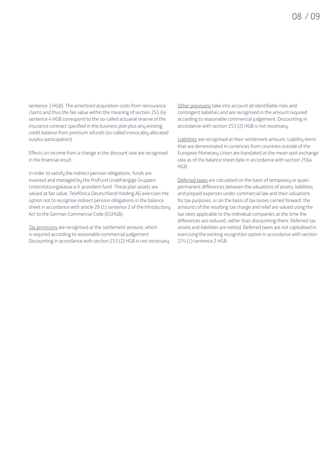sentence 3 HGB). The amortised acquisition costs from reinsurance claims and thus the fair value within the meaning of section 255 (4) sentence 4 HGB correspond to the so-called actuarial reserve of the insurance contract specified in the business plan plus any existing credit balance from premium refunds (so-called irrevocably allocated surplus participation).

Effects on income from a change in the discount rate are recognised in the financial result.

In order to satisfy the indirect pension obligations, funds are invested and managed by the ProFund Unabhängige Gruppen-Unterstützungskasse e.V. provident fund. These plan assets are valued at fair value. Telefónica Deutschland Holding AG exercises the option not to recognise indirect pension obligations in the balance sheet in accordance with article 28 (1) sentence 2 of the Introductory Act to the German Commercial Code (EGHGB).

Tax provisions are recognised at the settlement amount, which is required according to reasonable commercial judgement. Discounting in accordance with section 253 (2) HGB is not necessary.

Other provisions take into account all identifiable risks and contingent liabilities and are recognised in the amount required according to reasonable commercial judgement. Discounting in accordance with section 253 (2) HGB is not necessary.

Liabilities are recognised at their settlement amount. Liability items that are denominated in currencies from countries outside of the European Monetary Union are translated at the mean spot exchange rate as of the balance sheet date in accordance with section 256a HGB.

Deferred taxes are calculated on the basis of temporary or quasipermanent differences between the valuations of assets, liabilities and prepaid expenses under commercial law and their valuations for tax purposes, or on the basis of tax losses carried forward, the amounts of the resulting tax charge and relief are valued using the tax rates applicable to the individual companies at the time the differences are reduced, rather than discounting them. Deferred tax assets and liabilities are netted. Deferred taxes are not capitalised in exercising the existing recognition option in accordance with section 274 (1) sentence 2 HGB.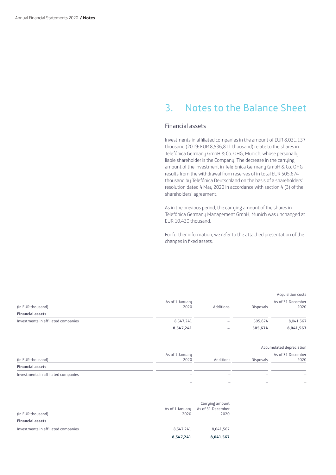### 3. Notes to the Balance Sheet

#### Financial assets

Investments in affiliated companies in the amount of EUR 8,031,137 thousand (2019: EUR 8,536,811 thousand) relate to the shares in Telefónica Germany GmbH & Co. OHG, Munich, whose personally liable shareholder is the Company. The decrease in the carrying amount of the investment in Telefónica Germany GmbH & Co. OHG results from the withdrawal from reserves of in total EUR 505,674 thousand by Telefónica Deutschland on the basis of a shareholders' resolution dated 4 May 2020 in accordance with section 4 (3) of the shareholders' agreement.

As in the previous period, the carrying amount of the shares in Telefónica Germany Management GmbH, Munich was unchanged at EUR 10,430 thousand.

For further information, we refer to the attached presentation of the changes in fixed assets.

|                                     |                 |           |                  | Acquisition costs        |
|-------------------------------------|-----------------|-----------|------------------|--------------------------|
|                                     | As of 1 January |           |                  | As of 31 December        |
| (in EUR thousand)                   | 2020            | Additions | <b>Disposals</b> | 2020                     |
| <b>Financial assets</b>             |                 |           |                  |                          |
| Investments in affiliated companies | 8,547,241       |           | 505,674          | 8,041,567                |
|                                     | 8,547,241       |           | 505,674          | 8,041,567                |
|                                     |                 |           |                  | Accumulated depreciation |
|                                     | As of 1 January |           |                  | As of 31 December        |
| (in EUR thousand)                   | 2020            | Additions | <b>Disposals</b> | 2020                     |

| <b>Financial assets</b>             |                          |                          |                          |        |
|-------------------------------------|--------------------------|--------------------------|--------------------------|--------|
| Investments in affiliated companies | $\sim$                   | $\sim$                   | -                        | $\sim$ |
|                                     | $\overline{\phantom{a}}$ | $\overline{\phantom{0}}$ | $\overline{\phantom{a}}$ | $\sim$ |

| (in EUR thousand)                   | As of 1 January<br>2020 | Carrying amount<br>As of 31 December<br>2020 |
|-------------------------------------|-------------------------|----------------------------------------------|
| <b>Financial assets</b>             |                         |                                              |
| Investments in affiliated companies | 8.547.241               | 8,041,567                                    |
|                                     | 8,547,241               | 8,041,567                                    |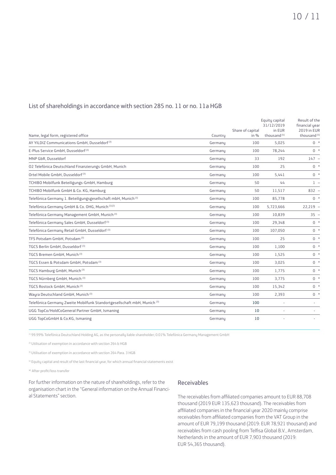#### List of shareholdings in accordance with section 285 no. 11 or no. 11a HGB

|                                                                                     |         |                  | Equity capital<br>31/12/2019 | Result of the<br>financial year |
|-------------------------------------------------------------------------------------|---------|------------------|------------------------------|---------------------------------|
|                                                                                     |         | Share of capital | in EUR                       | <b>2019 in EUR</b>              |
| Name, legal form, registered office                                                 | Countru | in $%$           | thousand <sup>(4)</sup>      | thousand <sup>(4)</sup>         |
| AY YILDIZ Communications GmbH, Dusseldorf <sup>(3)</sup>                            | Germanu | 100              | 5,025                        | $0 *$                           |
| E-Plus Service GmbH, Dusseldorf <sup>(3)</sup>                                      | Germany | 100              | 78,244                       | $0 *$                           |
| MNP GbR. Dusseldorf                                                                 | Germanu | 33               | 192                          | $147 -$                         |
| 02 Telefónica Deutschland Finanzierungs GmbH, Munich                                | Germanu | 100              | 25                           | $0 *$                           |
| Ortel Mobile GmbH, Dusseldorf <sup>(3)</sup>                                        | Germanu | 100              | 5,441                        | $0 *$                           |
| TCHIBO Mobilfunk Beteiligungs-GmbH, Hamburg                                         | Germanu | 50               | 44                           | $1 -$                           |
| TCHIBO Mobilfunk GmbH & Co. KG, Hamburg                                             | Germanu | 50               | 11,517                       | $832 -$                         |
| Telefónica Germany 1. Beteiligungsgesellschaft mbH, Munich (3)                      | Germanu | 100              | 85,778                       | $0 *$                           |
| Telefónica Germany GmbH & Co. OHG, Munich (1)(2)                                    | Germany | 100              | 5,723,666                    | $22,219 -$                      |
| Telefónica Germany Management GmbH, Munich <sup>(3)</sup>                           | Germanu | 100              | 10,839                       | $35 -$                          |
| Telefónica Germany Sales GmbH, Dusseldorf <sup>(3)</sup>                            | Germanu | 100              | 29,348                       | $0 *$                           |
| Telefónica Germany Retail GmbH, Dusseldorf <sup>(3)</sup>                           | Germanu | 100              | 107,050                      | $0 *$                           |
| TFS Potsdam GmbH, Potsdam <sup>(3)</sup>                                            | Germany | 100              | 25                           | $0 *$                           |
| TGCS Berlin GmbH, Dusseldorf <sup>(3)</sup>                                         | Germanu | 100              | 1.100                        | $0 *$                           |
| TGCS Bremen GmbH, Munich <sup>(3)</sup>                                             | Germanu | 100              | 1,525                        | $0 *$                           |
| TGCS Essen & Potsdam GmbH, Potsdam (3)                                              | Germany | 100              | 3,025                        | $0 *$                           |
| TGCS Hamburg GmbH, Munich (3)                                                       | Germanu | 100              | 1,775                        | $0 *$                           |
| TGCS Nürnberg GmbH, Munich (3)                                                      | Germanu | 100              | 3,775                        | $0 *$                           |
| TGCS Rostock GmbH, Munich (3)                                                       | Germanu | 100              | 15,342                       | $0 *$                           |
| Wayra Deutschland GmbH, Munich <sup>(3)</sup>                                       | Germany | 100              | 2,393                        | $0 *$                           |
| Telefónica Germany Zweite Mobilfunk Standortgesellschaft mbH, Munich <sup>(3)</sup> | Germanu | 100              |                              | ×.                              |
| UGG TopCo/HoldCoGeneral Partner GmbH, Ismaning                                      | Germanu | 10               |                              | $\sim$                          |
| UGG TopCoGmbH & Co.KG, Ismaning                                                     | Germanu | 10               |                              |                                 |
|                                                                                     |         |                  |                              |                                 |

1) 99.99% Telefónica Deutschland Holding AG, as the personally liable shareholder; 0.01% Telefónica Germany Management GmbH

2) Utilisation of exemption in accordance with section 264 b HGB

3) Utilisation of exemption in accordance with section 264 Para. 3 HGB

4) Equity capital and result of the last financial year, for which annual financial statements exist

\*) After profit/loss transfer

For further information on the nature of shareholdings, refer to the organisation chart in the "General information on the Annual Financial Statements" section.

#### Receivables

The receivables from affiliated companies amount to EUR 88,708 thousand (2019 EUR 135,623 thousand). The receivables from affiliated companies in the financial year 2020 mainly comprise receivables from affiliated companies from the VAT Group in the amount of EUR 79,199 thousand (2019: EUR 78,921 thousand) and receivables from cash pooling from Telfisa Global B.V., Amsterdam, Netherlands in the amount of EUR 7,903 thousand (2019: EUR 54,365 thousand).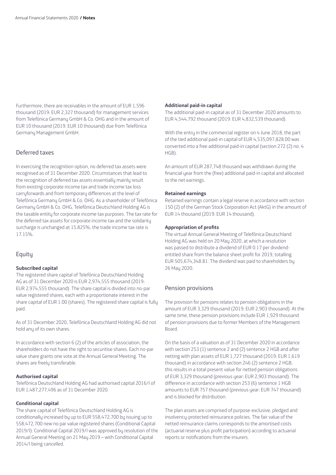Furthermore, there are receivables in the amount of EUR 1,596 thousand (2019: EUR 2,327 thousand) for management services from Telefónica Germany GmbH & Co. OHG and in the amount of EUR 10 thousand (2019: EUR 10 thousand) due from Telefónica Germany Management GmbH.

#### Deferred taxes

In exercising the recognition option, no deferred tax assets were recognised as of 31 December 2020. Circumstances that lead to the recognition of deferred tax assets essentially mainly result from existing corporate income tax and trade income tax loss carryforwards and from temporary differences at the level of Telefónica Germany GmbH & Co. OHG. As a shareholder of Telefónica Germany GmbH & Co. OHG, Telefónica Deutschland Holding AG is the taxable entity for corporate income tax purposes. The tax rate for the deferred tax assets for corporate income tax and the solidarity surcharge is unchanged at 15.825%, the trade income tax rate is 17.15%.

#### **Equity**

#### **Subscribed capital**

The registered share capital of Telefónica Deutschland Holding AG as of 31 December 2020 is EUR 2,974,555 thousand (2019: EUR 2,974,555 thousand). The share capital is divided into no-par value registered shares, each with a proportionate interest in the share capital of EUR 1.00 (shares). The registered share capital is fully paid.

As of 31 December 2020, Telefónica Deutschland Holding AG did not hold any of its own shares.

In accordance with section 6 (2) of the articles of association, the shareholders do not have the right to securitise shares. Each no-par value share grants one vote at the Annual General Meeting. The shares are freely transferable.

#### **Authorised capital**

Telefónica Deutschland Holding AG had authorised capital 2016/I of EUR 1,487,277,496 as of 31 December 2020.

#### **Conditional capital**

The share capital of Telefónica Deutschland Holding AG is conditionally increased by up to EUR 558,472,700 by issuing up to 558,472,700 new no par value registered shares (Conditional Capital 2019/I). Conditional Capital 2019/I was approved by resolution of the Annual General Meeting on 21 May 2019 – with Conditional Capital 2014/I being cancelled.

#### **Additional paid-in capital**

The additional paid-in capital as of 31 December 2020 amounts to EUR 4,544,792 thousand (2019: EUR 4,832,539 thousand).

With the entry in the commercial register on 4 June 2018, the part of the tied additional paid-in capital of EUR 4,535,097,828.00 was converted into a free additional paid-in capital (section 272 (2) no. 4 HGB).

An amount of EUR 287,748 thousand was withdrawn during the financial year from the (free) additional paid-in capital and allocated to the net earnings.

#### **Retained earnings**

Retained earnings contain a legal reserve in accordance with section 150 (2) of the German Stock Corporation Act (AktG) in the amount of EUR 14 thousand (2019: EUR 14 thousand).

#### **Appropriation of profits**

The virtual Annual General Meeting of Telefónica Deutschland Holding AG was held on 20 May 2020, at which a resolution was passed to distribute a dividend of EUR 0.17 per dividendentitled share from the balance sheet profit for 2019, totalling EUR 505,674,348.81. The dividend was paid to shareholders by 26 May 2020.

#### Pension provisions

The provision for pensions relates to pension obligations in the amount of EUR 3,329 thousand (2019: EUR 2,903 thousand). At the same time, these pension provisions include EUR 1,929 thousand of pension provisions due to former Members of the Management Board.

On the basis of a valuation as of 31 December 2020 in accordance with section 253 (1) sentence 2 and (2) sentence 2 HGB and after netting with plan assets of EUR 1,727 thousand (2019: EUR 1,619 thousand) in accordance with section 246 (2) sentence 2 HGB, this results in a total present value for netted pension obligations of EUR 3,329 thousand (previous year: EUR 2,903 thousand). The difference in accordance with section 253 (6) sentence 1 HGB amounts to EUR 757 thousand (previous year: EUR 747 thousand) and is blocked for distribution.

The plan assets are comprised of purpose-exclusive, pledged and insolvency-protected reinsurance policies. The fair value of the netted reinsurance claims corresponds to the amortised costs (actuarial reserve plus profit participation) according to actuarial reports or notifications from the insurers.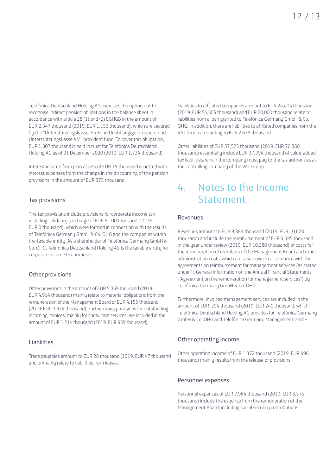Telefónica Deutschland Holding AG exercises the option not to recognise indirect pension obligations in the balance sheet in accordance with article 28 (1) and (2) EGHGB in the amount of EUR 2,347 thousand (2019: EUR 1,153 thousand), which are secured by the "Unterstützungskasse, ProFund Unabhängige Gruppen- und Unterstützungskasse e.V." provident fund. To cover this obligation, EUR 1,807 thousand is held in trust for Telefónica Deutschland Holding AG as of 31 December 2020 (2019: EUR 1,734 thousand).

Interest income from plan assets of EUR 15 thousand is netted with interest expenses from the change in the discounting of the pension provisions in the amount of EUR 375 thousand.

#### Tax provisions

The tax provisions include provisions for corporate income tax including solidarity surcharge of EUR 5,100 thousand (2019: EUR 0 thousand), which were formed in connection with the results of Telefónica Germany GmbH & Co. OHG and the companies within the taxable entity. As a shareholder of Telefónica Germany GmbH & Co. OHG, Telefónica Deutschland Holding AG is the taxable entity for corporate income tax purposes.

#### Other provisions

Other provisions in the amount of EUR 5,369 thousand (2019: EUR 4,914 thousand) mainly relate to material obligations from the remuneration of the Management Board of EUR 4,155 thousand (2019: EUR 3,974 thousand). Furthermore, provisions for outstanding incoming invoices, mainly for consulting services, are included in the amount of EUR 1,214 thousand (2019: EUR 939 thousand).

#### Liabilities

Trade payables amount to EUR 28 thousand (2019: EUR 47 thousand and primarily relate to liabilities from leases.

Liabilities to affiliated companies amount to EUR 24,405 thousand (2019: EUR 54,305 thousand) and EUR 20,000 thousand relate to liabilities from a loan granted to Telefónica Germany GmbH & Co. OHG. In addition, there are liabilities to affiliated companies from the VAT Group amounting to EUR 2,638 thousand.

Other liabilities of EUR 37,525 thousand (2019: EUR 76,380 thousand) essentially include EUR 37,394 thousand of value-added tax liabilities, which the Company must pay to the tax authorities as the controlling company of the VAT Group.

### 4. Notes to the Income Statement

#### Revenues

Revenues amount to EUR 9,889 thousand (2019: EUR 10,620 thousand) and include the reimbursement of EUR 9,595 thousand in the year under review (2019: EUR 10,380 thousand) of costs for the remuneration of members of the Management Board and other administration costs, which are taken over in accordance with the agreements on reimbursement for management services (as stated under "I. General information on the Annual Financial Statements - Agreement on the remuneration for management services") by Telefónica Germany GmbH & Co. OHG.

Furthermore, invoiced management services are included in the amount of EUR 294 thousand (2019: EUR 240 thousand, which Telefónica Deutschland Holding AG provides for Telefónica Germany GmbH & Co. OHG and Telefónica Germany Management GmbH.

#### Other operating income

Other operating income of EUR 1,372 thousand (2019: EUR 498 thousand) mainly results from the release of provisions.

#### Personnel expenses

Personnel expenses of EUR 7,964 thousand (2019: EUR 8,575 thousand) include the expense from the remuneration of the Management Board, including social security contributions.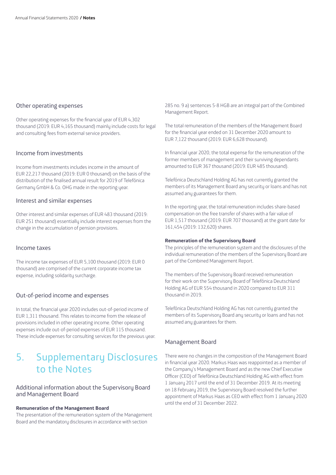#### Other operating expenses

Other operating expenses for the financial year of EUR 4,302 thousand (2019: EUR 4,165 thousand) mainly include costs for legal and consulting fees from external service providers.

#### Income from investments

Income from investments includes income in the amount of EUR 22,217 thousand (2019: EUR 0 thousand) on the basis of the distribution of the finalised annual result for 2019 of Telefónica Germany GmbH & Co. OHG made in the reporting year.

#### Interest and similar expenses

Other interest and similar expenses of EUR 483 thousand (2019: EUR 251 thousand) essentially include interest expenses from the change in the accumulation of pension provisions.

#### Income taxes

The income tax expenses of EUR 5,100 thousand (2019: EUR 0 thousand) are comprised of the current corporate income tax expense, including solidarity surcharge.

#### Out-of-period income and expenses

In total, the financial year 2020 includes out-of-period income of EUR 1,311 thousand. This relates to income from the release of provisions included in other operating income. Other operating expenses include out-of-period expenses of EUR 115 thousand. These include expenses for consulting services for the previous year.

### 5. Supplementary Disclosures to the Notes

#### Additional information about the Supervisory Board and Management Board

#### **Remuneration of the Management Board**

The presentation of the remuneration system of the Management Board and the mandatory disclosures in accordance with section

285 no. 9 a) sentences 5-8 HGB are an integral part of the Combined Management Report.

The total remuneration of the members of the Management Board for the financial year ended on 31 December 2020 amount to EUR 7,122 thousand (2019: EUR 6,628 thousand).

In financial year 2020, the total expense for the remuneration of the former members of management and their surviving dependants amounted to EUR 367 thousand (2019: EUR 485 thousand).

Telefónica Deutschland Holding AG has not currently granted the members of its Management Board any security or loans and has not assumed any guarantees for them.

In the reporting year, the total remuneration includes share-based compensation on the free transfer of shares with a fair value of EUR 1,517 thousand (2019: EUR 707 thousand) at the grant date for 161,454 (2019: 132,620) shares.

#### **Remuneration of the Supervisory Board**

The principles of the remuneration sustem and the disclosures of the individual remuneration of the members of the Supervisory Board are part of the Combined Management Report.

The members of the Supervisory Board received remuneration for their work on the Supervisory Board of Telefónica Deutschland Holding AG of EUR 554 thousand in 2020 compared to EUR 311 thousand in 2019.

Telefónica Deutschland Holding AG has not currently granted the members of its Supervisory Board any security or loans and has not assumed any guarantees for them.

#### Management Board

There were no changes in the composition of the Management Board in financial year 2020. Markus Haas was reappointed as a member of the Company's Management Board and as the new Chief Executive Officer (CEO) of Telefónica Deutschland Holding AG with effect from 1 January 2017 until the end of 31 December 2019. At its meeting on 18 February 2019, the Supervisory Board resolved the further appointment of Markus Haas as CEO with effect from 1 January 2020 until the end of 31 December 2022.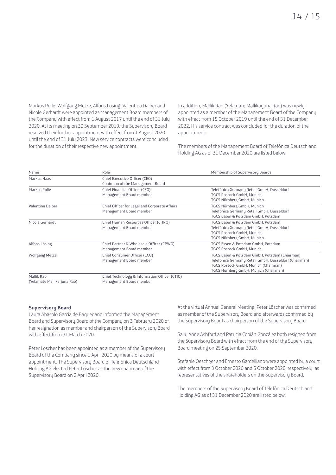Markus Rolle, Wolfgang Metze, Alfons Lösing, Valentina Daiber and Nicole Gerhardt were appointed as Management Board members of the Company with effect from 1 August 2017 until the end of 31 July 2020. At its meeting on 30 September 2019, the Supervisory Board resolved their further appointment with effect from 1 August 2020 until the end of 31 July 2023. New service contracts were concluded for the duration of their respective new appointment.

In addition, Mallik Rao (Yelamate Mallikarjuna Rao) was newly appointed as a member of the Management Board of the Company with effect from 15 October 2019 until the end of 31 December 2022. His service contract was concluded for the duration of the appointment.

The members of the Management Board of Telefónica Deutschland Holding AG as of 31 December 2020 are listed below:

| Name                                      | Role                                                                     | Membership of Supervisory Boards                                                                                                                                                        |
|-------------------------------------------|--------------------------------------------------------------------------|-----------------------------------------------------------------------------------------------------------------------------------------------------------------------------------------|
| Markus Haas                               | Chief Executive Officer (CEO)<br>Chairman of the Management Board        |                                                                                                                                                                                         |
| Markus Rolle                              | Chief Financial Officer (CFO)<br>Management Board member                 | Telefónica Germany Retail GmbH, Dusseldorf<br>TGCS Rostock GmbH, Munich<br>TGCS Nürnberg GmbH, Munich                                                                                   |
| Valentina Daiber                          | Chief Officer for Legal and Corporate Affairs<br>Management Board member | TGCS Nürnberg GmbH, Munich<br>Telefónica Germany Retail GmbH, Dusseldorf<br>TGCS Essen & Potsdam GmbH, Potsdam                                                                          |
| Nicole Gerhardt                           | Chief Human Resources Officer (CHRO)<br>Management Board member          | TGCS Essen & Potsdam GmbH, Potsdam<br>Telefónica Germany Retail GmbH, Dusseldorf<br>TGCS Rostock GmbH, Munich<br>TGCS Nürnberg GmbH, Munich                                             |
| Alfons Lösing                             | Chief Partner & Wholesale Officer (CPWO)<br>Management Board member      | TGCS Essen & Potsdam GmbH, Potsdam<br>TGCS Rostock GmbH, Munich                                                                                                                         |
| Wolfgang Metze                            | Chief Consumer Officer (CCO)<br>Management Board member                  | TGCS Essen & Potsdam GmbH, Potsdam (Chairman)<br>Telefónica Germany Retail GmbH, Dusseldorf (Chairman)<br>TGCS Rostock GmbH, Munich (Chairman)<br>TGCS Nürnberg GmbH, Munich (Chairman) |
| Mallik Rao<br>(Yelamate Mallikarjuna Rao) | Chief Technology & Information Officer (CTIO)<br>Management Board member |                                                                                                                                                                                         |

#### **Supervisory Board**

Laura Abasolo García de Baquedano informed the Management Board and Supervisory Board of the Company on 3 February 2020 of her resignation as member and chairperson of the Supervisory Board with effect from 31 March 2020.

Peter Löscher has been appointed as a member of the Supervisory Board of the Company since 1 April 2020 by means of a court appointment. The Supervisory Board of Telefónica Deutschland Holding AG elected Peter Löscher as the new chairman of the Supervisory Board on 2 April 2020.

At the virtual Annual General Meeting, Peter Löscher was confirmed as member of the Supervisory Board and afterwards confirmed by the Supervisory Board as chairperson of the Supervisory Board.

Sally Anne Ashford and Patricia Cobián González both resigned from the Supervisory Board with effect from the end of the Supervisory Board meeting on 25 September 2020.

Stefanie Oeschger and Ernesto Gardelliano were appointed by a court with effect from 3 October 2020 and 5 October 2020, respectively, as representatives of the shareholders on the Supervisory Board.

The members of the Supervisory Board of Telefónica Deutschland Holding AG as of 31 December 2020 are listed below: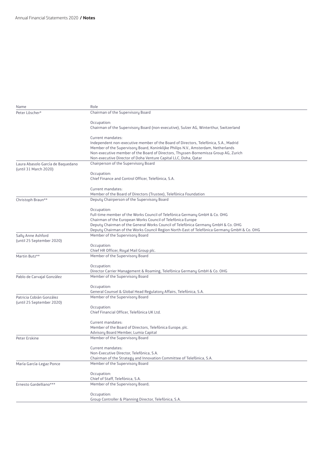| Name                              | Role                                                                                                              |
|-----------------------------------|-------------------------------------------------------------------------------------------------------------------|
| Peter Löscher*                    | Chairman of the Supervisory Board                                                                                 |
|                                   |                                                                                                                   |
|                                   | Occupation:                                                                                                       |
|                                   | Chairman of the Supervisory Board (non-executive), Sulzer AG, Winterthur, Switzerland                             |
|                                   | Current mandates:                                                                                                 |
|                                   | Independent non-executive member of the Board of Directors, Telefónica, S.A., Madrid                              |
|                                   | Member of the Supervisory Board, Koninklijke Philips N.V., Amsterdam, Netherlands                                 |
|                                   | Non-executive member of the Board of Directors, Thyssen-Bornemisza Group AG, Zurich                               |
|                                   | Non-executive Director of Doha Venture Capital LLC, Doha, Qatar                                                   |
| Laura Abasolo García de Baquedano | Chairperson of the Supervisory Board                                                                              |
| (until 31 March 2020)             |                                                                                                                   |
|                                   | Occupation:                                                                                                       |
|                                   | Chief Finance and Control Officer, Telefónica, S.A.                                                               |
|                                   | Current mandates:                                                                                                 |
|                                   | Member of the Board of Directors (Trustee), Telefónica Foundation                                                 |
| Christoph Braun**                 | Deputy Chairperson of the Supervisory Board                                                                       |
|                                   |                                                                                                                   |
|                                   | Occupation:                                                                                                       |
|                                   | Full-time member of the Works Council of Telefónica Germany GmbH & Co. OHG                                        |
|                                   | Chairman of the European Works Council of Telefónica Europe                                                       |
|                                   | Deputy Chairman of the General Works Council of Telefónica Germany GmbH & Co. OHG                                 |
|                                   | Deputy Chairman of the Works Council Region North-East of Telefónica Germany GmbH & Co. OHG                       |
| Sally Anne Ashford                | Member of the Supervisory Board                                                                                   |
| (until 25 September 2020)         | Occupation:                                                                                                       |
|                                   | Chief HR Officer, Royal Mail Group plc.                                                                           |
| Martin Butz**                     | Member of the Supervisory Board                                                                                   |
|                                   |                                                                                                                   |
|                                   | Occupation:                                                                                                       |
|                                   | Director Carrier Management & Roaming, Telefónica Germany GmbH & Co. OHG                                          |
| Pablo de Carvajal González        | Member of the Supervisory Board                                                                                   |
|                                   |                                                                                                                   |
|                                   | Occupation:                                                                                                       |
|                                   | General Counsel & Global Head Regulatory Affairs, Telefónica, S.A.                                                |
| Patricia Cobián González          | Member of the Supervisory Board                                                                                   |
| (until 25 September 2020)         | Occupation:                                                                                                       |
|                                   | Chief Financial Officer, Telefónica UK Ltd.                                                                       |
|                                   |                                                                                                                   |
|                                   | Current mandates:                                                                                                 |
|                                   | Member of the Board of Directors, Telefónica Europe, plc.                                                         |
|                                   | Advisory Board Member, Lumia Capital                                                                              |
| Peter Erskine                     | Member of the Supervisory Board                                                                                   |
|                                   |                                                                                                                   |
|                                   | Current mandates:                                                                                                 |
|                                   | Non-Executive Director, Telefónica, S.A.<br>Chairman of the Strategy and Innovation Committee of Telefónica, S.A. |
| María García-Legaz Ponce          | Member of the Supervisory Board                                                                                   |
|                                   |                                                                                                                   |
|                                   | Occupation:                                                                                                       |
|                                   | Chief of Staff, Telefónica, S.A.                                                                                  |
| Ernesto Gardelliano***            | Member of the Supervisory Board;                                                                                  |
|                                   |                                                                                                                   |
|                                   | Occupation:                                                                                                       |
|                                   | Group Controller & Planning Director, Telefónica, S.A.                                                            |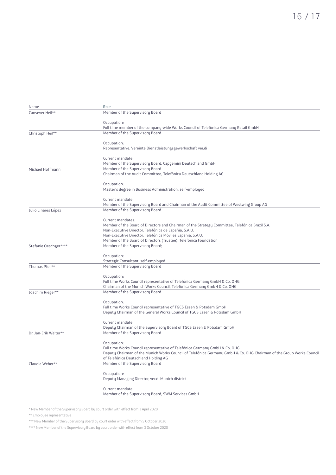| Name                  | Role                                                                                                                 |
|-----------------------|----------------------------------------------------------------------------------------------------------------------|
| Cansever Heil**       | Member of the Supervisory Board                                                                                      |
|                       | Occupation:                                                                                                          |
|                       | Full time member of the company-wide Works Council of Telefónica Germany Retail GmbH                                 |
| Christoph Heil**      | Member of the Supervisory Board                                                                                      |
|                       | Occupation:                                                                                                          |
|                       | Representative, Vereinte Dienstleistungsgewerkschaft ver.di                                                          |
|                       | Current mandate:                                                                                                     |
|                       | Member of the Supervisory Board, Capgemini Deutschland GmbH                                                          |
| Michael Hoffmann      | Member of the Supervisory Board<br>Chairman of the Audit Committee, Telefónica Deutschland Holding AG                |
|                       | Occupation:                                                                                                          |
|                       | Master's degree in Business Administration, self-employed                                                            |
|                       | Current mandate:                                                                                                     |
|                       | Member of the Supervisory Board and Chairman of the Audit Committee of Westwing Group AG                             |
| Julio Linares López   | Member of the Supervisory Board                                                                                      |
|                       | Current mandates:                                                                                                    |
|                       | Member of the Board of Directors and Chairman of the Strategy Committee, Telefónica Brazil S.A.                      |
|                       | Non-Executive Director, Telefónica de Españia, S.A.U.                                                                |
|                       | Non-Executive Director, Telefónica Móviles Españia, S.A.U.                                                           |
|                       | Member of the Board of Directors (Trustee), Telefónica Foundation                                                    |
| Stefanie Oeschger**** | Member of the Supervisory Board;                                                                                     |
|                       | Occupation:                                                                                                          |
|                       | Strategic Consultant, self-employed                                                                                  |
| Thomas Pfeil**        | Member of the Supervisory Board                                                                                      |
|                       | Occupation:                                                                                                          |
|                       | Full time Works Council representative of Telefónica Germany GmbH & Co. OHG                                          |
|                       | Chairman of the Munich Works Council, Telefónica Germany GmbH & Co. OHG                                              |
| Joachim Rieger**      | Member of the Supervisory Board                                                                                      |
|                       | Occupation:                                                                                                          |
|                       | Full time Works Council representative of TGCS Essen & Potsdam GmbH                                                  |
|                       | Deputy Chairman of the General Works Council of TGCS Essen & Potsdam GmbH                                            |
|                       | Current mandate:                                                                                                     |
|                       | Deputy Chairman of the Supervisory Board of TGCS Essen & Potsdam GmbH                                                |
| Dr. Jan-Erik Walter** | Member of the Supervisory Board                                                                                      |
|                       | Occupation:                                                                                                          |
|                       | Full time Works Council representative of Telefónica Germany GmbH & Co. OHG                                          |
|                       | Deputy Chairman of the Munich Works Council of Telefónica Germany GmbH & Co. OHG Chairman of the Group Works Council |
|                       | of Telefónica Deutschland Holding AG                                                                                 |
| Claudia Weber**       | Member of the Supervisory Board                                                                                      |
|                       | Occupation:                                                                                                          |
|                       | Deputy Managing Director, ver.di Munich district                                                                     |
|                       | Current mandate:                                                                                                     |
|                       | Member of the Supervisory Board, SWM Services GmbH                                                                   |
|                       |                                                                                                                      |

\* New Member of the Supervisory Board by court order with effect from 1 April 2020

\*\* Employee representative

\*\*\* New Member of the Supervisory Board by court order with effect from 5 October 2020

\*\*\*\* New Member of the Supervisory Board by court order with effect from 3 October 2020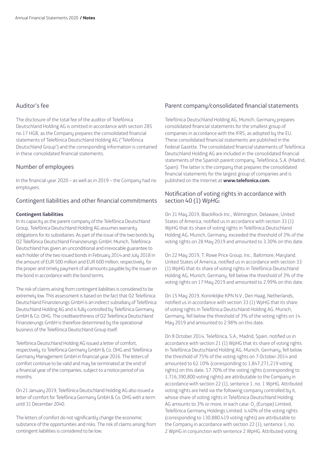#### Auditor's fee

The disclosure of the total fee of the auditor of Telefónica Deutschland Holding AG is omitted in accordance with section 285 no.17 HGB, as the Company prepares the consolidated financial statements of Telefónica Deutschland Holding AG ("Telefónica Deutschland Group") and the corresponding information is contained in these consolidated financial statements.

#### Number of employees

In the financial year 2020 – as well as in 2019 – the Company had no employees.

#### Contingent liabilities and other financial commitments

#### **Contingent liabilities**

In its capacity as the parent company of the Telefónica Deutschland Group, Telefónica Deutschland Holding AG assumes warranty obligations for its subsidiaries. As part of the issue of the two bonds by O2 Telefónica Deutschland Finanzierungs GmbH, Munich, Telefónica Deutschland has given an unconditional and irrevocable guarantee to each holder of the two issued bonds in February 2014 and July 2018 in the amount of EUR 500 million and EUR 600 million, respectively, for the proper and timely payment of all amounts payable by the issuer on the bond in accordance with the bond terms.

The risk of claims arising from contingent liabilities is considered to be extremely low. This assessment is based on the fact that O2 Telefónica Deutschland Finanzierungs GmbH is an indirect subsidiary of Telefónica Deutschland Holding AG and is fully controlled by Telefónica Germany GmbH & Co. OHG. The creditworthiness of O2 Telefónica Deutschland Finanzierungs GmbH is therefore determined by the operational business of the Telefónica Deutschland Group itself.

Telefónica Deutschland Holding AG issued a letter of comfort, respectively, to Telefónica Germany GmbH & Co. OHG and Telefónica Germany Management GmbH in financial year 2016. The letters of comfort continue to be valid and may be terminated at the end of a financial year of the companies, subject to a notice period of six months.

On 21 January 2019, Telefónica Deutschland Holding AG also issued a letter of comfort for Telefónica Germany GmbH & Co. OHG with a term until 31 December 2040.

The letters of comfort do not significantly change the economic substance of the opportunities and risks. The risk of claims arising from contingent liabilities is considered to be low.

#### Parent company/consolidated financial statements

Telefónica Deutschland Holding AG, Munich, Germany prepares consolidated financial statements for the smallest group of companies in accordance with the IFRS, as adopted by the EU. These consolidated financial statements are published in the Federal Gazette. The consolidated financial statements of Telefónica Deutschland Holding AG are included in the consolidated financial statements of the Spanish parent company, Telefónica, S.A. (Madrid, Spain). The latter is the company that prepares the consolidated financial statements for the largest group of companies and is published on the Internet at **www.telefonica.com.** 

#### Notification of voting rights in accordance with section 40 (1) WpHG:

On 31 May 2019, BlackRock Inc., Wilmington, Delaware, United States of America, notified us in accordance with section 33 (1) WpHG that its share of voting rights in Telefónica Deutschland Holding AG, Munich, Germany, exceeded the threshold of 3% of the voting rights on 28 May 2019 and amounted to 3.30% on this date.

On 22 May 2019, T. Rowe Price Group, Inc., Baltimore, Maryland, United States of America, notified us in accordance with section 33 (1) WpHG that its share of voting rights in Telefónica Deutschland Holding AG, Munich, Germany, fell below the threshold of 3% of the voting rights on 17 May 2019 and amounted to 2.99% on this date.

On 15 May 2019, Koninklijke KPN N.V., Den Haag, Netherlands, notified us in accordance with section 33 (1) WpHG that its share of voting rights in Telefónica Deutschland Holding AG, Munich, Germany, fell below the threshold of 3% of the voting rights on 14 May 2019 and amounted to 2.98% on this date.

On 8 October 2014, Telefónica, S.A., Madrid, Spain, notified us in accordance with section 21 (1) WpHG that its share of voting rights in Telefónica Deutschland Holding AG, Munich, Germany, fell below the threshold of 75% of the voting rights on 7 October 2014 and amounted to 62.10% (corresponding to 1,847,271,219 voting rights) on this date. 57.70% of the voting rights (corresponding to 1,716,390,800 voting rights) are attributable to the Company in accordance with section 22 (1), sentence 1, no. 1 WpHG. Attributed voting rights are held via the following company controlled by it, whose share of voting rights in Telefónica Deutschland Holding AG amounts to 3% or more, in each case:  $O_2$  (Europe) Limited, Telefónica Germany Holdings Limited. 4.40% of the voting rights (corresponding to 130,880,419 voting rights) are attributable to the Company in accordance with section 22 (1), sentence 1, no. 2 WpHG in conjunction with sentence 2 WpHG. Attributed voting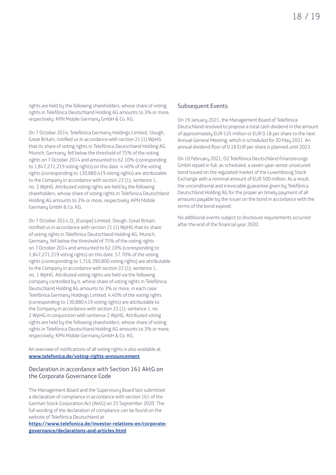rights are held by the following shareholders, whose share of voting rights in Telefónica Deutschland Holding AG amounts to 3% or more, respectively: KPN Mobile Germany GmbH & Co. KG.

On 7 October 2014, Telefónica Germany Holdings Limited, Slough, Great Britain, notified us in accordance with section 21 (1) WpHG that its share of voting rights in Telefónica Deutschland Holding AG, Munich, Germany, fell below the threshold of 75% of the voting rights on 7 October 2014 and amounted to 62.10% (corresponding to 1,847,271,219 voting rights) on this date. 4.40% of the voting rights (corresponding to 130,880,419 voting rights) are attributable to the Company in accordance with section 22 (1), sentence 1, no. 2 WpHG. Attributed voting rights are held by the following shareholders, whose share of voting rights in Telefónica Deutschland Holding AG amounts to 3% or more, respectively: KPN Mobile Germany GmbH & Co. KG.

On 7 October 2014, O<sub>2</sub> (Europe) Limited, Slough, Great Britain, notified us in accordance with section 21 (1) WpHG that its share of voting rights in Telefónica Deutschland Holding AG, Munich, Germany, fell below the threshold of 75% of the voting rights on 7 October 2014 and amounted to 62.10% (corresponding to 1,847,271,219 voting rights) on this date. 57.70% of the voting rights (corresponding to 1,716,390,800 voting rights) are attributable to the Company in accordance with section 22 (1), sentence 1, no. 1 WpHG. Attributed voting rights are held via the following company controlled by it, whose share of voting rights in Telefónica Deutschland Holding AG amounts to 3% or more, in each case: Telefónica Germany Holdings Limited. 4.40% of the voting rights (corresponding to 130,880,419 voting rights) are attributable to the Company in accordance with section 22 (1), sentence 1, no. 2 WpHG in conjunction with sentence 2 WpHG. Attributed voting rights are held by the following shareholders, whose share of voting rights in Telefónica Deutschland Holding AG amounts to 3% or more, respectively: KPN Mobile Germany GmbH & Co. KG.

An overview of notifications of all voting rights is also available at **www.telefonica.de/voting-rights-announcement**

#### Declaration in accordance with Section 161 AktG on the Corporate Governance Code

The Management Board and the Supervisory Board last submitted a declaration of compliance in accordance with section 161 of the German Stock Corporation Act (AktG) on 25 September 2020. The full wording of the declaration of compliance can be found on the website of Telefónica Deutschland at

**https://www.telefonica.de/investor-relations-en/corporategovernance/declarations-and-articles.html**

#### Subsequent Events

On 19 January 2021, the Management Board of Telefónica Deutschland resolved to propose a total cash dividend in the amount of approximately EUR 535 million or EUR 0.18 per share to the next Annual General Meeting, which is scheduled for 20 May 2021. An annual dividend floor of 0.18 EUR per share is planned until 2023.

On 10 February 2021, O2 Telefónica Deutschland Finanzierungs GmbH repaid in full, as scheduled, a seven-year senior unsecured bond issued on the regulated market of the Luxembourg Stock Exchange with a nominal amount of EUR 500 million. As a result, the unconditional and irrevocable guarantee given by Telefónica Deutschland Holding AG for the proper an timely payment of all amounts payable by the issuer on the bond in accordance with the terms of the bond expired.

No additional events subject to disclosure requirements occurred after the end of the financial year 2020.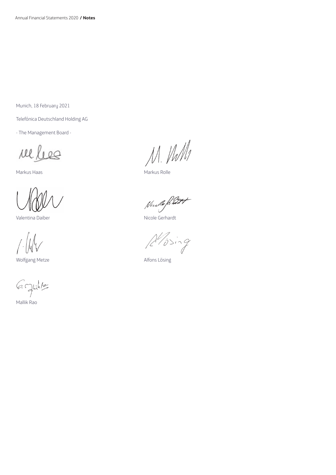Munich, 18 February 2021

Telefónica Deutschland Holding AG

- The Management Board -

rel les

Valentina Daiber Nicole Gerhardt

Wolfgang Metze **Alfons Lösing** 

6 Juilet

Mallik Rao

Nel lees M. M. M

Nude filet

 $A'$ ising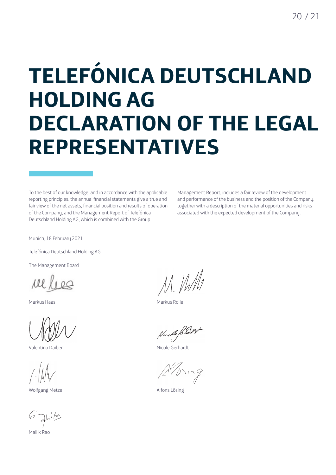## **TELEFÓNICA DEUTSCHLAND HOLDING AG DECLARATION OF THE LEGAL REPRESENTATIVES**

To the best of our knowledge, and in accordance with the applicable reporting principles, the annual financial statements give a true and fair view of the net assets, financial position and results of operation of the Company, and the Management Report of Telefónica Deutschland Holding AG, which is combined with the Group

Management Report, includes a fair review of the development and performance of the business and the position of the Company, together with a description of the material opportunities and risks associated with the expected development of the Company.

Munich, 18 February 2021

Telefónica Deutschland Holding AG

The Management Board

Der Vorstand

Markus Haas Markus Rolle

Valentina Daiber Nicole Gerhardt

Wolfgang Metze **Alfons Lösing** 

 $6$  glille

Mallik Rao

M. Ville

Nucle Rist

 $A\rightarrow$ ing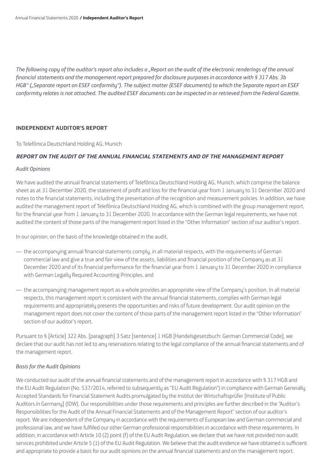*The following copy of the auditor's report also includes a "Report on the audit of the electronic renderings of the annual financial statements and the management report prepared for disclosure purposes in accordance with § 317 Abs. 3b HGB" ("Separate report on ESEF conformity"). The subject matter (ESEF documents) to which the Separate report on ESEF conformity relates is not attached. The audited ESEF documents can be inspected in or retrieved from the Federal Gazette.*

#### **INDEPENDENT AUDITOR'S REPORT**

To Telefónica Deutschland Holding AG, Munich

#### **REPORT ON THE AUDIT OF THE ANNUAL FINANCIAL STATEMENTS AND OF THE MANAGEMENT REPORT**

#### *Audit Opinions*

We have audited the annual financial statements of Telefónica Deutschland Holding AG, Munich, which comprise the balance sheet as at 31 December 2020, the statement of profit and loss for the financial year from 1 January to 31 December 2020 and notes to the financial statements, including the presentation of the recognition and measurement policies. In addition, we have audited the management report of Telefónica Deutschland Holding AG, which is combined with the group management report, for the financial year from 1 January to 31 December 2020. In accordance with the German legal requirements, we have not audited the content of those parts of the management report listed in the "Other Information" section of our auditor's report.

In our opinion, on the basis of the knowledge obtained in the audit,

- the accompanying annual financial statements comply, in all material respects, with the requirements of German commercial law and give a true and fair view of the assets, liabilities and financial position of the Company as at 31 December 2020 and of its financial performance for the financial year from 1 January to 31 December 2020 in compliance with German Legally Required Accounting Principles, and
- the accompanying management report as a whole provides an appropriate view of the Company's position. In all material respects, this management report is consistent with the annual financial statements, complies with German legal requirements and appropriately presents the opportunities and risks of future development. Our audit opinion on the management report does not cover the content of those parts of the management report listed in the "Other Information" section of our auditor's report.

Pursuant to § [Article] 322 Abs. [paragraph] 3 Satz [sentence] 1 HGB [Handelsgesetzbuch: German Commercial Code], we declare that our audit has not led to any reservations relating to the legal compliance of the annual financial statements and of the management report.

#### *Basis for the Audit Opinions*

We conducted our audit of the annual financial statements and of the management report in accordance with § 317 HGB and the EU Audit Regulation (No. 537/2014, referred to subsequently as "EU Audit Regulation") in compliance with German Generally Accepted Standards for Financial Statement Audits promulgated by the Institut der Wirtschaftsprüfer [Institute of Public Auditors in Germany] (IDW). Our responsibilities under those requirements and principles are further described in the "Auditor's Responsibilities for the Audit of the Annual Financial Statements and of the Management Report" section of our auditor's report. We are independent of the Company in accordance with the requirements of European law and German commercial and professional law, and we have fulfilled our other German professional responsibilities in accordance with these requirements. In addition, in accordance with Article 10 (2) point (f) of the EU Audit Regulation, we declare that we have not provided non-audit services prohibited under Article 5 (1) of the EU Audit Regulation. We believe that the audit evidence we have obtained is sufficient and appropriate to provide a basis for our audit opinions on the annual financial statements and on the management report.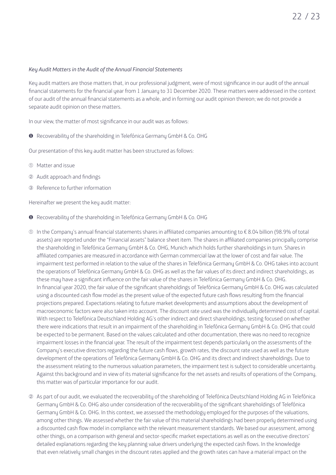#### *Key Audit Matters in the Audit of the Annual Financial Statements*

Key audit matters are those matters that, in our professional judgment, were of most significance in our audit of the annual financial statements for the financial year from 1 January to 31 December 2020. These matters were addressed in the context of our audit of the annual financial statements as a whole, and in forming our audit opinion thereon; we do not provide a separate audit opinion on these matters.

In our view, the matter of most significance in our audit was as follows:

❶ Recoverability of the shareholding in Telefónica Germany GmbH & Co. OHG

Our presentation of this key audit matter has been structured as follows:

- ➀ Matter and issue
- ➁ Audit approach and findings
- ➂ Reference to further information

Hereinafter we present the key audit matter:

- ❶ Recoverability of the shareholding in Telefónica Germany GmbH & Co. OHG
- ➀ In the Company's annual financial statements shares in affiliated companies amounting to € 8.04 billion (98.9% of total assets) are reported under the "Financial assets" balance sheet item. The shares in affiliated companies principally comprise the shareholding in Telefónica Germany GmbH & Co. OHG, Munich which holds further shareholdings in turn. Shares in affiliated companies are measured in accordance with German commercial law at the lower of cost and fair value. The impairment test performed in relation to the value of the shares in Telefónica Germany GmbH & Co. OHG takes into account the operations of Telefónica Germany GmbH & Co. OHG as well as the fair values of its direct and indirect shareholdings, as these may have a significant influence on the fair value of the shares in Telefónica Germany GmbH & Co. OHG. In financial year 2020, the fair value of the significant shareholdings of Telefónica Germany GmbH & Co. OHG was calculated using a discounted cash flow model as the present value of the expected future cash flows resulting from the financial projections prepared. Expectations relating to future market developments and assumptions about the development of macroeconomic factors were also taken into account. The discount rate used was the individually determined cost of capital. With respect to Telefónica Deutschland Holding AG's other indirect and direct shareholdings, testing focused on whether there were indications that result in an impairment of the shareholding in Telefónica Germany GmbH & Co. OHG that could be expected to be permanent. Based on the values calculated and other documentation, there was no need to recognize impairment losses in the financial year. The result of the impairment test depends particularly on the assessments of the Company's executive directors regarding the future cash flows, growth rates, the discount rate used as well as the future development of the operations of Telefónica Germany GmbH & Co. OHG and its direct and indirect shareholdings. Due to the assessment relating to the numerous valuation parameters, the impairment test is subject to considerable uncertainty. Against this background and in view of its material significance for the net assets and results of operations of the Company, this matter was of particular importance for our audit.
- ➁ As part of our audit, we evaluated the recoverability of the shareholding of Telefónica Deutschland Holding AG in Telefónica Germany GmbH & Co. OHG also under consideration of the recoverability of the significant shareholdings of Telefónica Germany GmbH & Co. OHG. In this context, we assessed the methodology employed for the purposes of the valuations, among other things. We assessed whether the fair value of this material shareholdings had been properly determined using a discounted cash flow model in compliance with the relevant measurement standards. We based our assessment, among other things, on a comparison with general and sector-specific market expectations as well as on the executive directors' detailed explanations regarding the key planning value drivers underlying the expected cash flows. In the knowledge that even relatively small changes in the discount rates applied and the growth rates can have a material impact on the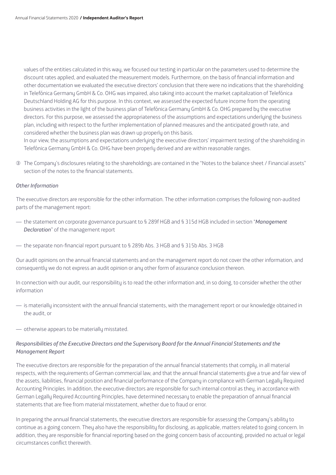values of the entities calculated in this way, we focused our testing in particular on the parameters used to determine the discount rates applied, and evaluated the measurement models. Furthermore, on the basis of financial information and other documentation we evaluated the executive directors' conclusion that there were no indications that the shareholding in Telefónica Germany GmbH & Co. OHG was impaired, also taking into account the market capitalization of Telefónica Deutschland Holding AG for this purpose. In this context, we assessed the expected future income from the operating business activities in the light of the business plan of Telefónica Germany GmbH & Co. OHG prepared by the executive directors. For this purpose, we assessed the appropriateness of the assumptions and expectations underlying the business plan, including with respect to the further implementation of planned measures and the anticipated growth rate, and considered whether the business plan was drawn up properly on this basis.

In our view, the assumptions and expectations underlying the executive directors' impairment testing of the shareholding in Telefónica Germany GmbH & Co. OHG have been properly derived and are within reasonable ranges.

➂ The Company's disclosures relating to the shareholdings are contained in the "Notes to the balance sheet / Financial assets" section of the notes to the financial statements.

#### *Other Information*

The executive directors are responsible for the other information. The other information comprises the following non-audited parts of the management report:

- the statement on corporate governance pursuant to § 289f HGB and § 315d HGB included in section "*Management Declaration*" of the management report
- the separate non-financial report pursuant to § 289b Abs. 3 HGB and § 315b Abs. 3 HGB

Our audit opinions on the annual financial statements and on the management report do not cover the other information, and consequently we do not express an audit opinion or any other form of assurance conclusion thereon.

In connection with our audit, our responsibility is to read the other information and, in so doing, to consider whether the other information

- is materially inconsistent with the annual financial statements, with the management report or our knowledge obtained in the audit, or
- otherwise appears to be materially misstated.

#### *Responsibilities of the Executive Directors and the Supervisory Board for the Annual Financial Statements and the Management Report*

The executive directors are responsible for the preparation of the annual financial statements that comply, in all material respects, with the requirements of German commercial law, and that the annual financial statements give a true and fair view of the assets, liabilities, financial position and financial performance of the Company in compliance with German Legally Required Accounting Principles. In addition, the executive directors are responsible for such internal control as they, in accordance with German Legally Required Accounting Principles, have determined necessary to enable the preparation of annual financial statements that are free from material misstatement, whether due to fraud or error.

In preparing the annual financial statements, the executive directors are responsible for assessing the Company's ability to continue as a going concern. They also have the responsibility for disclosing, as applicable, matters related to going concern. In addition, they are responsible for financial reporting based on the going concern basis of accounting, provided no actual or legal circumstances conflict therewith.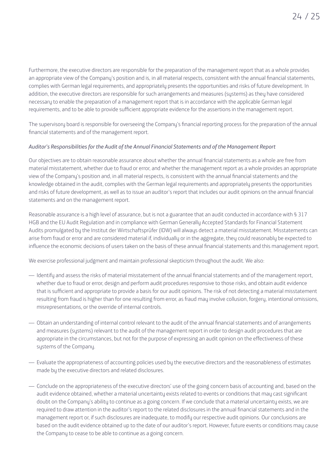Furthermore, the executive directors are responsible for the preparation of the management report that as a whole provides an appropriate view of the Company's position and is, in all material respects, consistent with the annual financial statements, complies with German legal requirements, and appropriately presents the opportunities and risks of future development. In addition, the executive directors are responsible for such arrangements and measures (systems) as they have considered necessary to enable the preparation of a management report that is in accordance with the applicable German legal requirements, and to be able to provide sufficient appropriate evidence for the assertions in the management report.

The supervisory board is responsible for overseeing the Company's financial reporting process for the preparation of the annual financial statements and of the management report.

#### *Auditor's Responsibilities for the Audit of the Annual Financial Statements and of the Management Report*

Our objectives are to obtain reasonable assurance about whether the annual financial statements as a whole are free from material misstatement, whether due to fraud or error, and whether the management report as a whole provides an appropriate view of the Company's position and, in all material respects, is consistent with the annual financial statements and the knowledge obtained in the audit, complies with the German legal requirements and appropriately presents the opportunities and risks of future development, as well as to issue an auditor's report that includes our audit opinions on the annual financial statements and on the management report.

Reasonable assurance is a high level of assurance, but is not a guarantee that an audit conducted in accordance with § 317 HGB and the EU Audit Regulation and in compliance with German Generally Accepted Standards for Financial Statement Audits promulgated by the Institut der Wirtschaftsprüfer (IDW) will always detect a material misstatement. Misstatements can arise from fraud or error and are considered material if, individually or in the aggregate, they could reasonably be expected to influence the economic decisions of users taken on the basis of these annual financial statements and this management report.

We exercise professional judgment and maintain professional skepticism throughout the audit. We also:

- Identify and assess the risks of material misstatement of the annual financial statements and of the management report, whether due to fraud or error, design and perform audit procedures responsive to those risks, and obtain audit evidence that is sufficient and appropriate to provide a basis for our audit opinions. The risk of not detecting a material misstatement resulting from fraud is higher than for one resulting from error, as fraud may involve collusion, forgery, intentional omissions, misrepresentations, or the override of internal controls.
- Obtain an understanding of internal control relevant to the audit of the annual financial statements and of arrangements and measures (systems) relevant to the audit of the management report in order to design audit procedures that are appropriate in the circumstances, but not for the purpose of expressing an audit opinion on the effectiveness of these systems of the Company.
- Evaluate the appropriateness of accounting policies used by the executive directors and the reasonableness of estimates made by the executive directors and related disclosures.
- Conclude on the appropriateness of the executive directors' use of the going concern basis of accounting and, based on the audit evidence obtained, whether a material uncertainty exists related to events or conditions that may cast significant doubt on the Company's ability to continue as a going concern. If we conclude that a material uncertainty exists, we are required to draw attention in the auditor's report to the related disclosures in the annual financial statements and in the management report or, if such disclosures are inadequate, to modify our respective audit opinions. Our conclusions are based on the audit evidence obtained up to the date of our auditor's report. However, future events or conditions may cause the Company to cease to be able to continue as a going concern.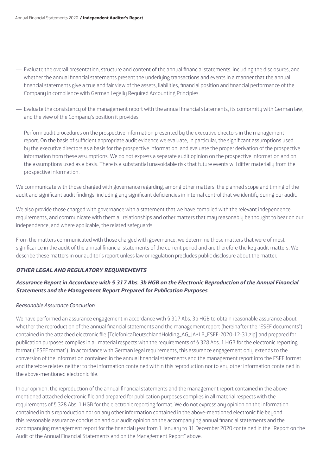- Evaluate the overall presentation, structure and content of the annual financial statements, including the disclosures, and whether the annual financial statements present the underlying transactions and events in a manner that the annual financial statements give a true and fair view of the assets, liabilities, financial position and financial performance of the Company in compliance with German Legally Required Accounting Principles.
- Evaluate the consistency of the management report with the annual financial statements, its conformity with German law, and the view of the Company's position it provides.
- Perform audit procedures on the prospective information presented by the executive directors in the management report. On the basis of sufficient appropriate audit evidence we evaluate, in particular, the significant assumptions used by the executive directors as a basis for the prospective information, and evaluate the proper derivation of the prospective information from these assumptions. We do not express a separate audit opinion on the prospective information and on the assumptions used as a basis. There is a substantial unavoidable risk that future events will differ materially from the prospective information.

We communicate with those charged with governance regarding, among other matters, the planned scope and timing of the audit and significant audit findings, including any significant deficiencies in internal control that we identify during our audit.

We also provide those charged with governance with a statement that we have complied with the relevant independence requirements, and communicate with them all relationships and other matters that may reasonably be thought to bear on our independence, and where applicable, the related safeguards.

From the matters communicated with those charged with governance, we determine those matters that were of most significance in the audit of the annual financial statements of the current period and are therefore the key audit matters. We describe these matters in our auditor's report unless law or regulation precludes public disclosure about the matter.

#### **OTHER LEGAL AND REGULATORY REQUIREMENTS**

#### **Assurance Report in Accordance with § 317 Abs. 3b HGB on the Electronic Reproduction of the Annual Financial Statements and the Management Report Prepared for Publication Purposes**

#### *Reasonable Assurance Conclusion*

We have performed an assurance engagement in accordance with § 317 Abs. 3b HGB to obtain reasonable assurance about whether the reproduction of the annual financial statements and the management report (hereinafter the "ESEF documents") contained in the attached electronic file [TelefonicaDeutschlandHolding\_AG\_JA+LB\_ESEF-2020-12-31.zip] and prepared for publication purposes complies in all material respects with the requirements of § 328 Abs. 1 HGB for the electronic reporting format ("ESEF format"). In accordance with German legal requirements, this assurance engagement only extends to the conversion of the information contained in the annual financial statements and the management report into the ESEF format and therefore relates neither to the information contained within this reproduction nor to any other information contained in the above-mentioned electronic file.

In our opinion, the reproduction of the annual financial statements and the management report contained in the abovementioned attached electronic file and prepared for publication purposes complies in all material respects with the requirements of § 328 Abs. 1 HGB for the electronic reporting format. We do not express any opinion on the information contained in this reproduction nor on any other information contained in the above-mentioned electronic file beyond this reasonable assurance conclusion and our audit opinion on the accompanying annual financial statements and the accompanying management report for the financial year from 1 January to 31 December 2020 contained in the "Report on the Audit of the Annual Financial Statements and on the Management Report" above.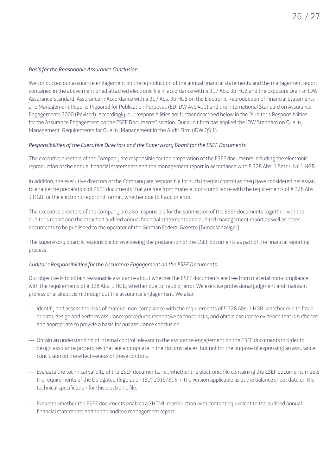#### *Basis for the Reasonable Assurance Conclusion*

We conducted our assurance engagement on the reproduction of the annual financial statements and the management report contained in the above mentioned attached electronic file in accordance with § 317 Abs. 3b HGB and the Exposure Draft of IDW Assurance Standard: Assurance in Accordance with § 317 Abs. 3b HGB on the Electronic Reproduction of Financial Statements and Management Reports Prepared for Publication Purposes (ED IDW AsS 410) and the International Standard on Assurance Engagements 3000 (Revised). Accordingly, our responsibilities are further described below in the "Auditor's Responsibilities for the Assurance Engagement on the ESEF Documents" section. Our audit firm has applied the IDW Standard on Quality Management: Requirements for Quality Management in the Audit Firm (IDW QS 1).

#### *Responsibilities of the Executive Directors and the Supervisory Board for the ESEF Documents*

The executive directors of the Company are responsible for the preparation of the ESEF documents including the electronic reproduction of the annual financial statements and the management report in accordance with § 328 Abs. 1 Satz 4 Nr. 1 HGB.

In addition, the executive directors of the Company are responsible for such internal control as they have considered necessary to enable the preparation of ESEF documents that are free from material non-compliance with the requirements of § 328 Abs. 1 HGB for the electronic reporting format, whether due to fraud or error.

The executive directors of the Company are also responsible for the submission of the ESEF documents together with the auditor's report and the attached audited annual financial statements and audited management report as well as other documents to be published to the operator of the German Federal Gazette [Bundesanzeiger].

The supervisory board is responsible for overseeing the preparation of the ESEF documents as part of the financial reporting process.

#### *Auditor's Responsibilities for the Assurance Engagement on the ESEF Documents*

Our objective is to obtain reasonable assurance about whether the ESEF documents are free from material non-compliance with the requirements of § 328 Abs. 1 HGB, whether due to fraud or error. We exercise professional judgment and maintain professional skepticism throughout the assurance engagement. We also:

- Identify and assess the risks of material non-compliance with the requirements of § 328 Abs. 1 HGB, whether due to fraud or error, design and perform assurance procedures responsive to those risks, and obtain assurance evidence that is sufficient and appropriate to provide a basis for our assurance conclusion.
- Obtain an understanding of internal control relevant to the assurance engagement on the ESEF documents in order to design assurance procedures that are appropriate in the circumstances, but not for the purpose of expressing an assurance conclusion on the effectiveness of these controls.
- Evaluate the technical validity of the ESEF documents, i.e., whether the electronic file containing the ESEF documents meets the requirements of the Delegated Regulation (EU) 2019/815 in the version applicable as at the balance sheet date on the technical specification for this electronic file.
- Evaluate whether the ESEF documents enables a XHTML reproduction with content equivalent to the audited annual financial statements and to the audited management report.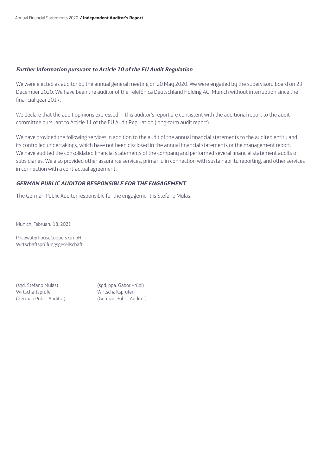#### **Further Information pursuant to Article 10 of the EU Audit Regulation**

We were elected as auditor bu the annual general meeting on 20 May 2020. We were engaged by the supervisory board on 23 December 2020. We have been the auditor of the Telefónica Deutschland Holding AG, Munich without interruption since the financial year 2017.

We declare that the audit opinions expressed in this auditor's report are consistent with the additional report to the audit committee pursuant to Article 11 of the EU Audit Regulation (long-form audit report).

We have provided the following services in addition to the audit of the annual financial statements to the audited entity and its controlled undertakings, which have not been disclosed in the annual financial statements or the management report: We have audited the consolidated financial statements of the company and performed several financial statement audits of subsidiaries. We also provided other assurance services, primarily in connection with sustainability reporting, and other services in connection with a contractual agreement.

#### **GERMAN PUBLIC AUDITOR RESPONSIBLE FOR THE ENGAGEMENT**

The German Public Auditor responsible for the engagement is Stefano Mulas.

Munich, February 18, 2021

PricewaterhouseCoopers GmbH Wirtschaftsprüfungsgesellschaft

(sgd. Stefano Mulas) (sgd. ppa. Gabor Krüpl) Wirtschaftsprüfer Wirtschaftsprüfer (German Public Auditor) (German Public Auditor)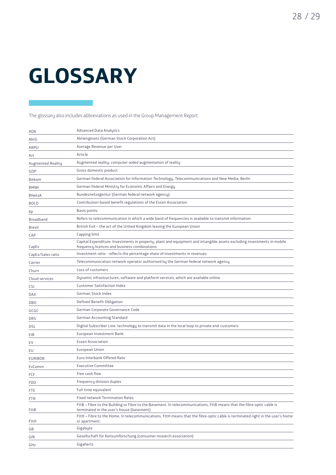## **GLOSSARY**

The glossary also includes abbreviations as used in the Group Management Report

| ADA               | <b>Advanced Data Analytics</b>                                                                                                                                          |
|-------------------|-------------------------------------------------------------------------------------------------------------------------------------------------------------------------|
| AktG              | Aktiengesetz (German Stock Corporation Act)                                                                                                                             |
| ARPU              | Average Revenue per User                                                                                                                                                |
| Art               | Article                                                                                                                                                                 |
| Augmented Reality | Augmented reality: computer-aided augmentation of reality                                                                                                               |
| GDP               | Gross domestic product                                                                                                                                                  |
| Bitkom            | German Federal Association for Information Technology, Telecommunications and New Media, Berlin                                                                         |
| <b>BMWi</b>       | German Federal Ministry for Economic Affairs and Energy                                                                                                                 |
| <b>BNetzA</b>     | Bundesnetzagentur (German federal network agency)                                                                                                                       |
| <b>BOLO</b>       | Contribution-based benefit regulations of the Essen Association                                                                                                         |
| bp                | <b>Basis points</b>                                                                                                                                                     |
| Broadband         | Refers to telecommunication in which a wide band of frequencies is available to transmit information                                                                    |
| <b>Brexit</b>     | British Exit – the act of the United Kingdom leaving the European Union                                                                                                 |
| CAP               | Capping limit                                                                                                                                                           |
| CapEx             | Capital Expenditure: Investments in property, plant and equipment and intangible assets excluding investments in mobile<br>frequency licences and business combinations |
| CapEx/Sales ratio | Investment ratio - reflects the percentage share of investments in revenues                                                                                             |
| Carrier           | Telecommunication network operator authorised by the German federal network agency                                                                                      |
| Churn             | Loss of customers                                                                                                                                                       |
| Cloud services    | Dynamic infrastructures, software and platform services, which are available online                                                                                     |
| CSI               | <b>Customer Satisfaction Index</b>                                                                                                                                      |
| <b>DAX</b>        | German Stock Index                                                                                                                                                      |
| <b>DBO</b>        | Defined Benefit Obligation                                                                                                                                              |
| GCGC              | German Corporate Governance Code                                                                                                                                        |
| <b>DRS</b>        | <b>German Accounting Standard</b>                                                                                                                                       |
| DSL               | Digital Subscriber Line: technology to transmit data in the local loop to private end-customers                                                                         |
| EIB               | European Investment Bank                                                                                                                                                |
| EV                | <b>Essen Association</b>                                                                                                                                                |
| EU                | European Union                                                                                                                                                          |
| <b>EURIBOR</b>    | Euro Interbank Offered Rate                                                                                                                                             |
| ExComm            | <b>Executive Committee</b>                                                                                                                                              |
| FCF               | Free cash flow                                                                                                                                                          |
| <b>FDD</b>        | Frequency division duplex                                                                                                                                               |
| FTE               | Full-time equivalent                                                                                                                                                    |
| FTR               | <b>Fixed network Termination Rates</b>                                                                                                                                  |
| FttB              | FttB - Fibre to the Building or Fibre to the Basement. In telecommunications, FttB means that the fibre-optic cable is<br>terminated in the user's house (basement).    |
| FttH              | FttH - Fibre to the Home. In telecommunications, FttH means that the fibre-optic cable is terminated right in the user's home<br>or apartment.                          |
| GB                | Gigabyte                                                                                                                                                                |
| GfK               | Gesellschaft für Konsumforschung (consumer research association)                                                                                                        |
| GHz               | Gigahertz                                                                                                                                                               |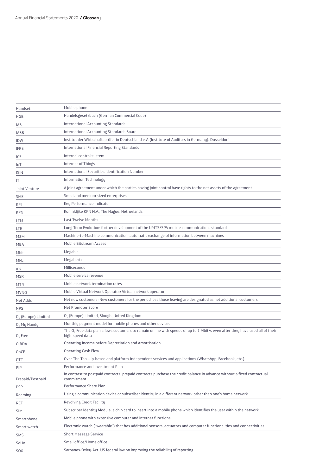| Handset                 | Mobile phone                                                                                                                                                |
|-------------------------|-------------------------------------------------------------------------------------------------------------------------------------------------------------|
| HGB                     | Handelsgesetzbuch (German Commercial Code)                                                                                                                  |
| IAS                     | International Accounting Standards                                                                                                                          |
| IASB                    | International Accounting Standards Board                                                                                                                    |
| IDW                     | Institut der Wirtschaftsprüfer in Deutschland e.V. (Institute of Auditors in Germany), Dusseldorf                                                           |
| IFRS                    | International Financial Reporting Standards                                                                                                                 |
| ICS                     | Internal control system                                                                                                                                     |
| IoT                     | Internet of Things                                                                                                                                          |
| ISIN                    | International Securities Identification Number                                                                                                              |
| IT                      | Information Technology                                                                                                                                      |
| Joint Venture           | A joint agreement under which the parties having joint control have rights to the net assets of the agreement                                               |
| SME                     | Small and medium-sized enterprises                                                                                                                          |
| KPI                     | Key Performance Indicator                                                                                                                                   |
| KPN                     | Koninklijke KPN N.V., The Hague, Netherlands                                                                                                                |
| LTM                     | <b>Last Twelve Months</b>                                                                                                                                   |
| LTE                     | Long Term Evolution: further development of the UMTS/SPA mobile communications standard                                                                     |
| M2M                     | Machine-to-Machine communication: automatic exchange of information between machines                                                                        |
| MBA                     | Mobile Bitstream Access                                                                                                                                     |
| Mbit                    | Megabit                                                                                                                                                     |
| MHz                     | Megahertz                                                                                                                                                   |
| ms                      | Milliseconds                                                                                                                                                |
| MSR                     | Mobile service revenue                                                                                                                                      |
| MTR                     | Mobile network termination rates                                                                                                                            |
| MVNO                    | Mobile Virtual Network Operator: Virtual network operator                                                                                                   |
| Net Adds                | Net new customers: New customers for the period less those leaving are designated as net additional customers                                               |
| NPS                     | Net Promoter Score                                                                                                                                          |
| O, (Europe) Limited     | O <sub>2</sub> (Europe) Limited, Slough, United Kingdom                                                                                                     |
| O <sub>2</sub> My Handy | Monthly payment model for mobile phones and other devices                                                                                                   |
| O, Free                 | The O <sub>2</sub> Free data plan allows customers to remain online with speeds of up to 1 Mbit/s even after they have used all of their<br>high-speed data |
| OIBDA                   | Operating Income before Depreciation and Amortisation                                                                                                       |
| <b>OpCF</b>             | <b>Operating Cash Flow</b>                                                                                                                                  |
| 0TT                     | Over The Top – Ip-based and platform-independent services and applications (WhatsApp, Facebook, etc.)                                                       |
| PIP                     | Performance and Investment Plan                                                                                                                             |
| Prepaid/Postpaid        | In contrast to postpaid contracts, prepaid contracts purchase the credit balance in advance without a fixed contractual<br>commitment                       |
| PSP                     | Performance Share Plan                                                                                                                                      |
| Roaming                 | Using a communication device or subscriber identity in a different network other than one's home network                                                    |
| RCF                     | Revolving Credit Facility                                                                                                                                   |
| SIM                     | Subscriber Identity Module: a chip card to insert into a mobile phone which identifies the user within the network                                          |
| Smartphone              | Mobile phone with extensive computer and internet functions                                                                                                 |
| Smart watch             | Electronic watch ("wearable") that has additional sensors, actuators and computer functionalities and connectivities.                                       |
| SMS                     | <b>Short Message Service</b>                                                                                                                                |
| SoHo                    | Small office/Home office                                                                                                                                    |
| SOX                     | Sarbanes-Oxley-Act: US federal law on improving the reliability of reporting                                                                                |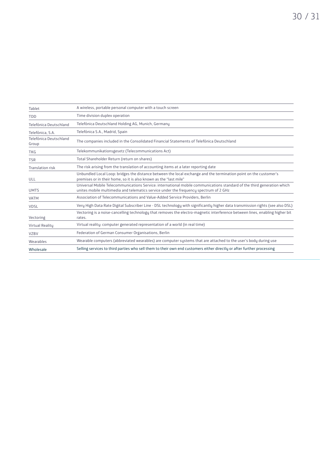| Tablet                          | A wireless, portable personal computer with a touch screen                                                                                                                                                       |
|---------------------------------|------------------------------------------------------------------------------------------------------------------------------------------------------------------------------------------------------------------|
| <b>TDD</b>                      | Time division duplex operation                                                                                                                                                                                   |
| Telefónica Deutschland          | Telefónica Deutschland Holding AG, Munich, Germany                                                                                                                                                               |
| Telefónica, S.A.                | Telefónica S.A., Madrid, Spain                                                                                                                                                                                   |
| Telefónica Deutschland<br>Group | The companies included in the Consolidated Financial Statements of Telefónica Deutschland                                                                                                                        |
| <b>TKG</b>                      | Telekommunikationsgesetz (Telecommunications Act)                                                                                                                                                                |
| <b>TSR</b>                      | Total Shareholder Return (return on shares)                                                                                                                                                                      |
| <b>Translation risk</b>         | The risk arising from the translation of accounting items at a later reporting date                                                                                                                              |
| ULL                             | Unbundled Local Loop: bridges the distance between the local exchange and the termination point on the customer's<br>premises or in their home, so it is also known as the "last mile"                           |
| <b>UMTS</b>                     | Universal Mobile Telecommunications Service: international mobile communications standard of the third generation which<br>unites mobile multimedia and telematics service under the frequency spectrum of 2 GHz |
| <b>VATM</b>                     | Association of Telecommunications and Value-Added Service Providers, Berlin                                                                                                                                      |
| <b>VDSL</b>                     | Very High Data Rate Digital Subscriber Line - DSL technology with significantly higher data transmission rights (see also DSL)                                                                                   |
| Vectoring                       | Vectoring is a noise-cancelling technology that removes the electro-magnetic interference between lines, enabling higher bit<br>rates.                                                                           |
| <b>Virtual Reality</b>          | Virtual reality: computer generated representation of a world (in real time)                                                                                                                                     |
| <b>VZBV</b>                     | Federation of German Consumer Organisations, Berlin                                                                                                                                                              |
| Wearables                       | Wearable computers (abbreviated wearables) are computer systems that are attached to the user's body during use                                                                                                  |
| Wholesale                       | Selling services to third parties who sell them to their own end customers either directly or after further processing                                                                                           |
|                                 |                                                                                                                                                                                                                  |